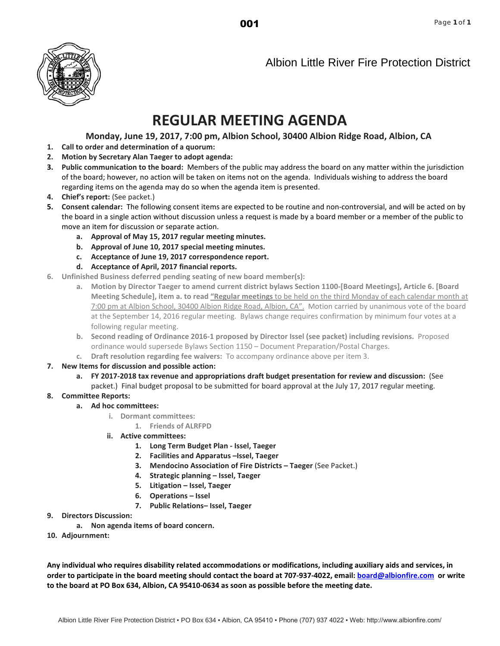001



Albion Little River Fire Protection District

# **REGULAR MEETING AGENDA**

### **Monday, June 19, 2017, 7:00 pm, Albion School, 30400 Albion Ridge Road, Albion, CA**

- **1. Call to order and determination of a quorum:**
- **2. Motion by Secretary Alan Taeger to adopt agenda:**
- **3. Public communication to the board:** Members of the public may address the board on any matter within the jurisdiction of the board; however, no action will be taken on items not on the agenda. Individuals wishing to address the board regarding items on the agenda may do so when the agenda item is presented.
- **4. Chief's report:** (See packet.)
- **5. Consent calendar:** The following consent items are expected to be routine and non-controversial, and will be acted on by the board in a single action without discussion unless a request is made by a board member or a member of the public to move an item for discussion or separate action.
	- **a. Approval of May 15, 2017 regular meeting minutes.**
	- **b. Approval of June 10, 2017 special meeting minutes.**
	- **c. Acceptance of June 19, 2017 correspondence report.**
	- **d. Acceptance of April, 2017 financial reports.**
- **6. Unfinished Business deferred pending seating of new board member(s):**
	- **a. Motion by Director Taeger to amend current district bylaws Section 1100-[Board Meetings], Article 6. [Board Meeting Schedule], item a. to read "Regular meetings** to be held on the third Monday of each calendar month at 7:00 pm at Albion School, 30400 Albion Ridge Road, Albion, CA". Motion carried by unanimous vote of the board at the September 14, 2016 regular meeting. Bylaws change requires confirmation by minimum four votes at a following regular meeting.
	- **b. Second reading of Ordinance 2016-1 proposed by Director Issel (see packet) including revisions.** Proposed ordinance would supersede Bylaws Section 1150 – Document Preparation/Postal Charges.
	- **c. Draft resolution regarding fee waivers:** To accompany ordinance above per item 3.
- **7. New Items for discussion and possible action:**
	- **a. FY 2017-2018 tax revenue and appropriations draft budget presentation for review and discussion:** (See packet.) Final budget proposal to be submitted for board approval at the July 17, 2017 regular meeting.
- **8. Committee Reports:**
	- **a. Ad hoc committees:**
		- **i. Dormant committees:**
			- **1. Friends of ALRFPD**
		- **ii. Active committees:**
			- **1. Long Term Budget Plan Issel, Taeger**
			- **2. Facilities and Apparatus –Issel, Taeger**
			- **3. Mendocino Association of Fire Districts Taeger** (See Packet.)
			- **4. Strategic planning Issel, Taeger**
			- **5. Litigation Issel, Taeger**
			- **6. Operations Issel**
			- **7. Public Relations– Issel, Taeger**
- **9. Directors Discussion:**
	- **a. Non agenda items of board concern.**
- **10. Adjournment:**

**Any individual who requires disability related accommodations or modifications, including auxiliary aids and services, in order to participate in the board meeting should contact the board at 707-937-4022, email[: board@albionfire.com](mailto:board@albionfire.com) or write to the board at PO Box 634, Albion, CA 95410-0634 as soon as possible before the meeting date.**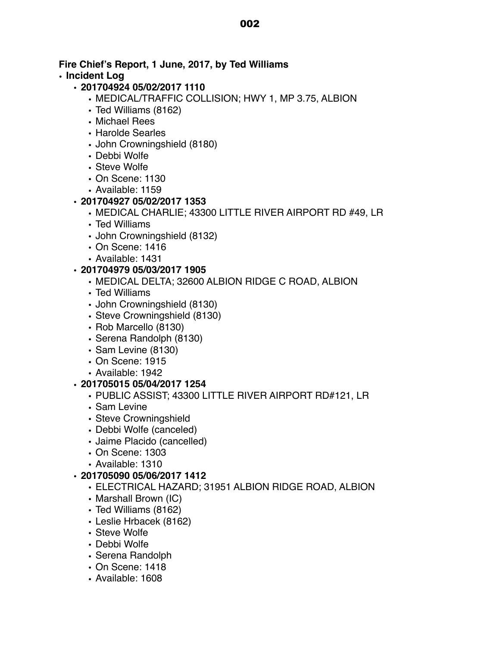# **Fire Chief's Report, 1 June, 2017, by Ted Williams**

# **• Incident Log**

# **• 201704924 05/02/2017 1110**

- MEDICAL/TRAFFIC COLLISION; HWY 1, MP 3.75, ALBION
- Ted Williams (8162)
- Michael Rees
- Harolde Searles
- John Crowningshield (8180)
- Debbi Wolfe
- Steve Wolfe
- On Scene: 1130
- Available: 1159

# **• 201704927 05/02/2017 1353**

- MEDICAL CHARLIE; 43300 LITTLE RIVER AIRPORT RD #49, LR
- Ted Williams
- John Crowningshield (8132)
- On Scene: 1416
- Available: 1431

# **• 201704979 05/03/2017 1905**

- MEDICAL DELTA; 32600 ALBION RIDGE C ROAD, ALBION
- Ted Williams
- John Crowningshield (8130)
- Steve Crowningshield (8130)
- Rob Marcello (8130)
- Serena Randolph (8130)
- Sam Levine (8130)
- On Scene: 1915
- Available: 1942

# **• 201705015 05/04/2017 1254**

- PUBLIC ASSIST; 43300 LITTLE RIVER AIRPORT RD#121, LR
- Sam Levine
- Steve Crowningshield
- Debbi Wolfe (canceled)
- Jaime Placido (cancelled)
- On Scene: 1303
- Available: 1310

# **• 201705090 05/06/2017 1412**

- ELECTRICAL HAZARD; 31951 ALBION RIDGE ROAD, ALBION
- Marshall Brown (IC)
- Ted Williams (8162)
- Leslie Hrbacek (8162)
- Steve Wolfe
- Debbi Wolfe
- Serena Randolph
- On Scene: 1418
- Available: 1608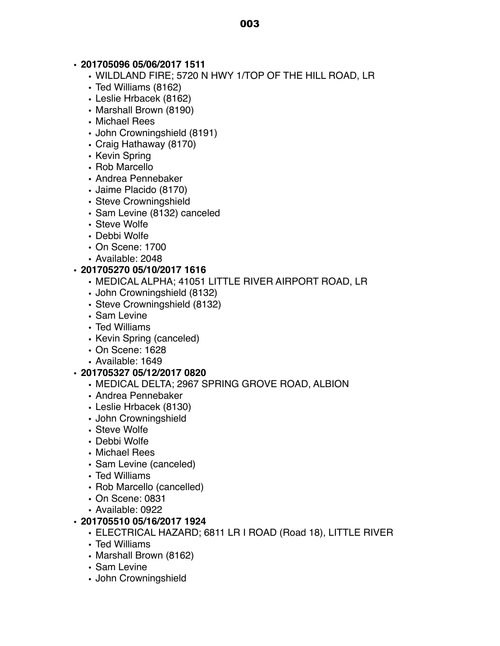# **• 201705096 05/06/2017 1511**

- WILDLAND FIRE; 5720 N HWY 1/TOP OF THE HILL ROAD, LR
- Ted Williams (8162)
- Leslie Hrbacek (8162)
- Marshall Brown (8190)
- Michael Rees
- John Crowningshield (8191)
- Craig Hathaway (8170)
- Kevin Spring
- Rob Marcello
- Andrea Pennebaker
- Jaime Placido (8170)
- Steve Crowningshield
- Sam Levine (8132) canceled
- Steve Wolfe
- Debbi Wolfe
- On Scene: 1700
- Available: 2048

# **• 201705270 05/10/2017 1616**

- MEDICAL ALPHA; 41051 LITTLE RIVER AIRPORT ROAD, LR
- John Crowningshield (8132)
- Steve Crowningshield (8132)
- Sam Levine
- Ted Williams
- Kevin Spring (canceled)
- On Scene: 1628
- Available: 1649

# **• 201705327 05/12/2017 0820**

- MEDICAL DELTA; 2967 SPRING GROVE ROAD, ALBION
- Andrea Pennebaker
- Leslie Hrbacek (8130)
- John Crowningshield
- Steve Wolfe
- Debbi Wolfe
- Michael Rees
- Sam Levine (canceled)
- Ted Williams
- Rob Marcello (cancelled)
- On Scene: 0831
- Available: 0922

# **• 201705510 05/16/2017 1924**

- ELECTRICAL HAZARD; 6811 LR I ROAD (Road 18), LITTLE RIVER
- Ted Williams
- Marshall Brown (8162)
- Sam Levine
- John Crowningshield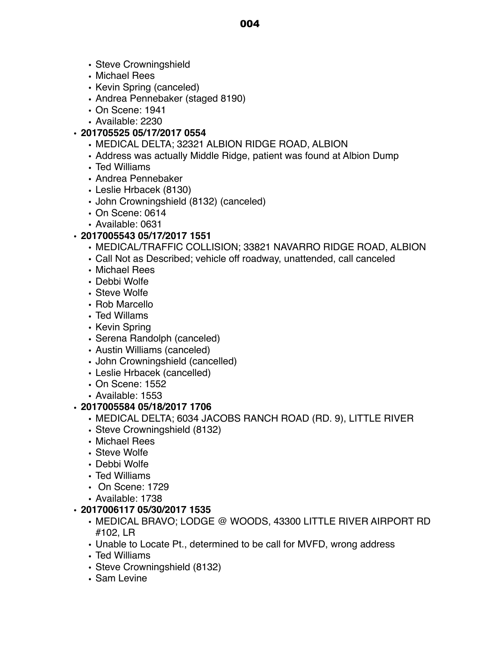- Steve Crowningshield
- Michael Rees
- Kevin Spring (canceled)
- Andrea Pennebaker (staged 8190)
- On Scene: 1941
- Available: 2230

# **• 201705525 05/17/2017 0554**

- MEDICAL DELTA; 32321 ALBION RIDGE ROAD, ALBION
- Address was actually Middle Ridge, patient was found at Albion Dump
- Ted Williams
- Andrea Pennebaker
- Leslie Hrbacek (8130)
- John Crowningshield (8132) (canceled)
- On Scene: 0614
- Available: 0631

# **• 2017005543 05/17/2017 1551**

- MEDICAL/TRAFFIC COLLISION; 33821 NAVARRO RIDGE ROAD, ALBION
- Call Not as Described; vehicle off roadway, unattended, call canceled
- Michael Rees
- Debbi Wolfe
- Steve Wolfe
- Rob Marcello
- Ted Willams
- Kevin Spring
- Serena Randolph (canceled)
- Austin Williams (canceled)
- John Crowningshield (cancelled)
- Leslie Hrbacek (cancelled)
- On Scene: 1552
- Available: 1553

# **• 2017005584 05/18/2017 1706**

- MEDICAL DELTA; 6034 JACOBS RANCH ROAD (RD. 9), LITTLE RIVER
- Steve Crowningshield (8132)
- Michael Rees
- Steve Wolfe
- Debbi Wolfe
- Ted Williams
- On Scene: 1729
- Available: 1738

# **• 2017006117 05/30/2017 1535**

- MEDICAL BRAVO; LODGE @ WOODS, 43300 LITTLE RIVER AIRPORT RD #102, LR
- Unable to Locate Pt., determined to be call for MVFD, wrong address
- Ted Williams
- Steve Crowningshield (8132)
- Sam Levine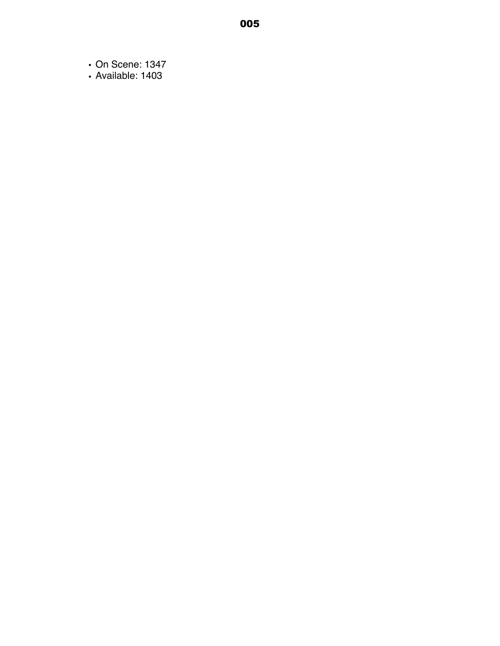- On Scene: 1347
- Available: 1403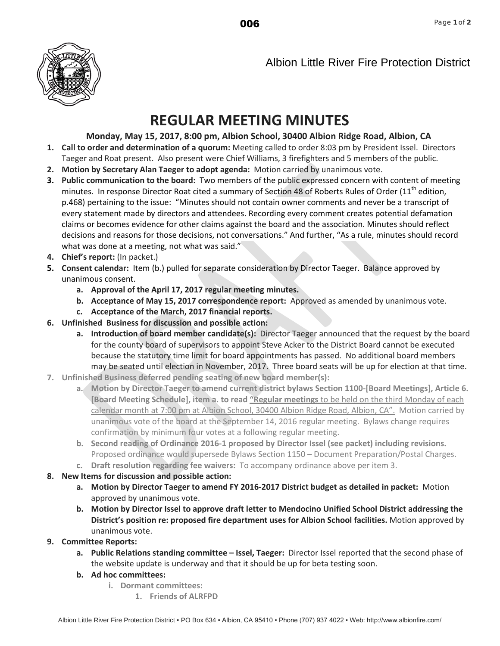

Albion Little River Fire Protection District

# **REGULAR MEETING MINUTES**

# **Monday, May 15, 2017, 8:00 pm, Albion School, 30400 Albion Ridge Road, Albion, CA**

- **1. Call to order and determination of a quorum:** Meeting called to order 8:03 pm by President Issel. Directors Taeger and Roat present. Also present were Chief Williams, 3 firefighters and 5 members of the public.
- **2. Motion by Secretary Alan Taeger to adopt agenda:** Motion carried by unanimous vote.
- **3. Public communication to the board:** Two members of the public expressed concern with content of meeting minutes. In response Director Roat cited a summary of Section 48 of Roberts Rules of Order (11<sup>th</sup> edition, p.468) pertaining to the issue: "Minutes should not contain owner [comments](http://www.davis-stirling.com/OwnerCommentsinMinutes/tabid/1576/Default.aspx) and never be a transcript of every statement made by directors and attendees. Recording every comment creates potential defamation claims or becomes evidence for other claims against the board and the association. Minutes should reflect decisions and reasons for those decisions, not conversations." And further, "As a rule, minutes should record what was done at a meeting, not what was said."
- **4. Chief's report:** (In packet.)
- **5. Consent calendar:** Item (b.) pulled for separate consideration by Director Taeger. Balance approved by unanimous consent.
	- **a. Approval of the April 17, 2017 regular meeting minutes.**
	- **b. Acceptance of May 15, 2017 correspondence report:** Approved as amended by unanimous vote.
	- **c. Acceptance of the March, 2017 financial reports.**
- **6. Unfinished Business for discussion and possible action:** 
	- **a. Introduction of board member candidate(s):** Director Taeger announced that the request by the board for the county board of supervisors to appoint Steve Acker to the District Board cannot be executed because the statutory time limit for board appointments has passed. No additional board members may be seated until election in November, 2017. Three board seats will be up for election at that time.
- **7. Unfinished Business deferred pending seating of new board member(s):**
	- **a. Motion by Director Taeger to amend current district bylaws Section 1100-[Board Meetings], Article 6. [Board Meeting Schedule], item a. to read "Regular meetings** to be held on the third Monday of each calendar month at 7:00 pm at Albion School, 30400 Albion Ridge Road, Albion, CA". Motion carried by unanimous vote of the board at the September 14, 2016 regular meeting. Bylaws change requires confirmation by minimum four votes at a following regular meeting.
	- **b. Second reading of Ordinance 2016-1 proposed by Director Issel (see packet) including revisions.** Proposed ordinance would supersede Bylaws Section 1150 – Document Preparation/Postal Charges.
	- **c. Draft resolution regarding fee waivers:** To accompany ordinance above per item 3.
- **8. New Items for discussion and possible action:**
	- **a. Motion by Director Taeger to amend FY 2016-2017 District budget as detailed in packet:** Motion approved by unanimous vote.
	- **b. Motion by Director Issel to approve draft letter to Mendocino Unified School District addressing the District's position re: proposed fire department uses for Albion School facilities.** Motion approved by unanimous vote.
- **9. Committee Reports:**
	- **a. Public Relations standing committee Issel, Taeger:** Director Issel reported that the second phase of the website update is underway and that it should be up for beta testing soon.
	- **b. Ad hoc committees:**
		- **i. Dormant committees:**
			- **1. Friends of ALRFPD**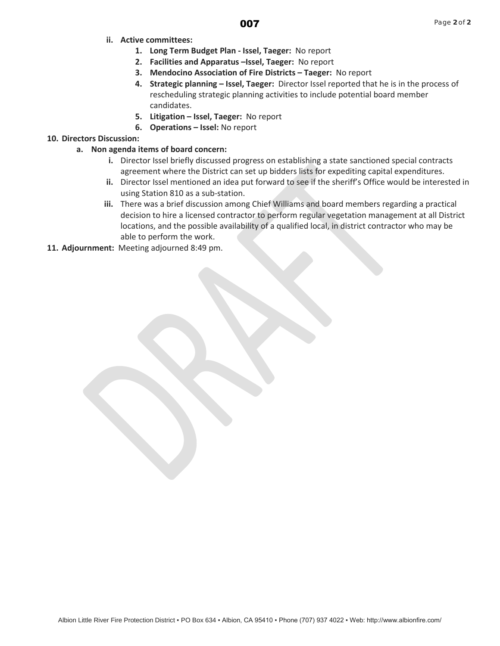## 007

- **ii. Active committees:**
	- **1. Long Term Budget Plan Issel, Taeger:** No report
	- **2. Facilities and Apparatus –Issel, Taeger:** No report
	- **3. Mendocino Association of Fire Districts Taeger:** No report
	- **4. Strategic planning Issel, Taeger:** Director Issel reported that he is in the process of rescheduling strategic planning activities to include potential board member candidates.
	- **5. Litigation Issel, Taeger:** No report
	- **6. Operations Issel:** No report

#### **10. Directors Discussion:**

- **a. Non agenda items of board concern:**
	- **i.** Director Issel briefly discussed progress on establishing a state sanctioned special contracts agreement where the District can set up bidders lists for expediting capital expenditures.
	- **ii.** Director Issel mentioned an idea put forward to see if the sheriff's Office would be interested in using Station 810 as a sub-station.
	- **iii.** There was a brief discussion among Chief Williams and board members regarding a practical decision to hire a licensed contractor to perform regular vegetation management at all District locations, and the possible availability of a qualified local, in district contractor who may be able to perform the work.
- **11. Adjournment:** Meeting adjourned 8:49 pm.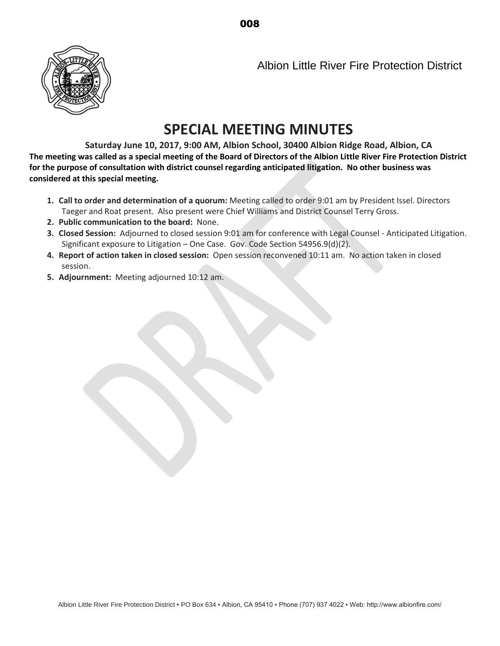008



Albion Little River Fire Protection District

# **SPECIAL MEETING MINUTES**

**Saturday June 10, 2017, 9:00 AM, Albion School, 30400 Albion Ridge Road, Albion, CA The meeting was called as a special meeting of the Board of Directors of the Albion Little River Fire Protection District for the purpose of consultation with district counsel regarding anticipated litigation. No other business was considered at this special meeting.**

- **1. Call to order and determination of a quorum:** Meeting called to order 9:01 am by President Issel. Directors Taeger and Roat present. Also present were Chief Williams and District Counsel Terry Gross.
- **2. Public communication to the board:** None.
- **3. Closed Session:** Adjourned to closed session 9:01 am for conference with Legal Counsel Anticipated Litigation. Significant exposure to Litigation – One Case. Gov. Code Section 54956.9(d)(2).
- **4. Report of action taken in closed session:** Open session reconvened 10:11 am. No action taken in closed session.
- **5. Adjournment:** Meeting adjourned 10:12 am.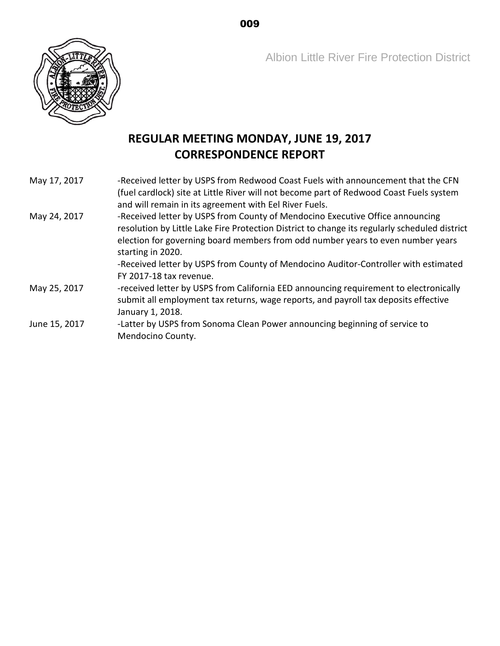Albion Little River Fire Protection District



# **REGULAR MEETING MONDAY, JUNE 19, 2017 CORRESPONDENCE REPORT**

- May 17, 2017 -Received letter by USPS from Redwood Coast Fuels with announcement that the CFN (fuel cardlock) site at Little River will not become part of Redwood Coast Fuels system and will remain in its agreement with Eel River Fuels.
- May 24, 2017 -Received letter by USPS from County of Mendocino Executive Office announcing resolution by Little Lake Fire Protection District to change its regularly scheduled district election for governing board members from odd number years to even number years starting in 2020. -Received letter by USPS from County of Mendocino Auditor-Controller with estimated
	- FY 2017-18 tax revenue.
- May 25, 2017 received letter by USPS from California EED announcing requirement to electronically submit all employment tax returns, wage reports, and payroll tax deposits effective January 1, 2018.
- June 15, 2017 -Latter by USPS from Sonoma Clean Power announcing beginning of service to Mendocino County.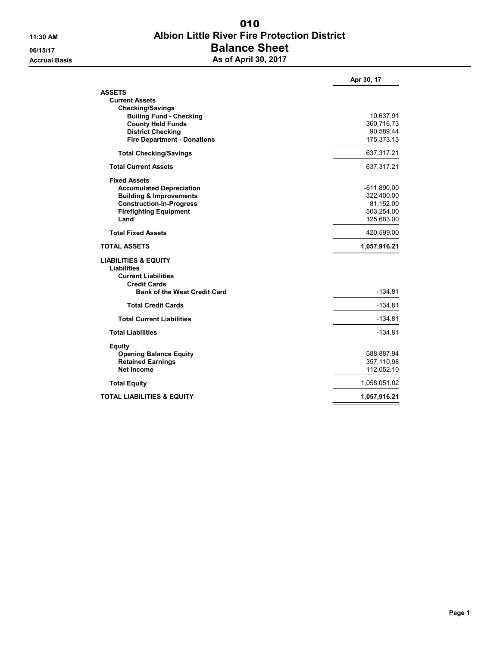# 11:30 AM Albion Little River Fire Protection District 06/15/17 **Balance Sheet** Accrual Basis **Accrual Basis** As of April 30, 2017 010

|                                     | Apr 30, 17    |
|-------------------------------------|---------------|
| <b>ASSETS</b>                       |               |
| <b>Current Assets</b>               |               |
| <b>Checking/Savings</b>             |               |
| <b>Builing Fund - Checking</b>      | 10,637.91     |
| <b>County Held Funds</b>            | 360,716.73    |
| <b>District Checking</b>            | 90,589.44     |
| <b>Fire Department - Donations</b>  | 175,373.13    |
| <b>Total Checking/Savings</b>       | 637,317.21    |
| <b>Total Current Assets</b>         | 637,317.21    |
| <b>Fixed Assets</b>                 |               |
| <b>Accumulated Depreciation</b>     | $-611,890.00$ |
| <b>Building &amp; Improvements</b>  | 322,400.00    |
| <b>Construction-in-Progress</b>     | 81,152.00     |
| <b>Firefighting Equipment</b>       | 503,254.00    |
| Land                                | 125,683.00    |
| <b>Total Fixed Assets</b>           | 420,599.00    |
|                                     |               |
| <b>TOTAL ASSETS</b>                 | 1,057,916.21  |
| <b>LIABILITIES &amp; EQUITY</b>     |               |
| Liabilities                         |               |
| <b>Current Liabilities</b>          |               |
| <b>Credit Cards</b>                 |               |
| <b>Bank of the West Credit Card</b> | $-134.81$     |
| <b>Total Credit Cards</b>           | $-134.81$     |
| <b>Total Current Liabilities</b>    | $-134.81$     |
| <b>Total Liabilities</b>            | $-134.81$     |
| <b>Equity</b>                       |               |
| <b>Opening Balance Equity</b>       | 588,887.94    |
| <b>Retained Earnings</b>            | 357,110.98    |
| Net Income                          | 112,052.10    |
| <b>Total Equity</b>                 | 1,058,051.02  |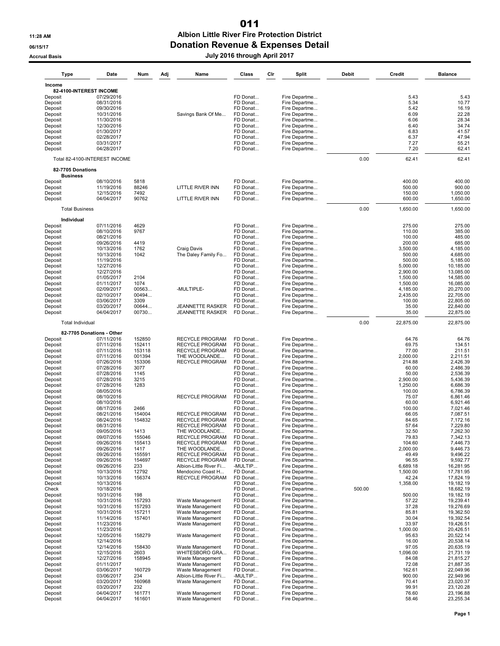### 11:28 AM Albion Little River Fire Protection District 06/15/17 CONSERVITED DONATION Revenue & Expenses Detail 011

# Accrual Basis July 2016 through April 2017

| <b>Type</b>                       | Date                          | Num           | Adj | Name                                       | Class                | Cir | <b>Split</b>                   | Debit  | Credit               | <b>Balance</b>         |
|-----------------------------------|-------------------------------|---------------|-----|--------------------------------------------|----------------------|-----|--------------------------------|--------|----------------------|------------------------|
| Income<br>82-4100-INTEREST INCOME |                               |               |     |                                            |                      |     |                                |        |                      |                        |
| Deposit                           | 07/29/2016                    |               |     |                                            | FD Donat             |     | Fire Departme                  |        | 5.43                 | 5.43                   |
| Deposit                           | 08/31/2016                    |               |     |                                            | FD Donat             |     | Fire Departme                  |        | 5.34                 | 10.77                  |
| Deposit                           | 09/30/2016                    |               |     |                                            | FD Donat             |     | Fire Departme                  |        | 5.42                 | 16.19                  |
| Deposit                           | 10/31/2016                    |               |     | Savings Bank Of Me                         | FD Donat             |     | Fire Departme                  |        | 6.09                 | 22.28                  |
| Deposit                           | 11/30/2016                    |               |     |                                            | FD Donat             |     | Fire Departme                  |        | 6.06                 | 28.34                  |
| Deposit                           | 12/30/2016                    |               |     |                                            | FD Donat             |     | Fire Departme                  |        | 6.40                 | 34.74                  |
| Deposit                           | 01/30/2017                    |               |     |                                            | FD Donat             |     | Fire Departme                  |        | 6.83                 | 41.57                  |
| Deposit                           | 02/28/2017                    |               |     |                                            | FD Donat             |     | Fire Departme                  |        | 6.37                 | 47.94                  |
| Deposit<br>Deposit                | 03/31/2017<br>04/28/2017      |               |     |                                            | FD Donat<br>FD Donat |     | Fire Departme<br>Fire Departme |        | 7.27<br>7.20         | 55.21<br>62.41         |
|                                   |                               |               |     |                                            |                      |     |                                |        |                      |                        |
| 82-7705 Donations                 | Total 82-4100-INTEREST INCOME |               |     |                                            |                      |     |                                | 0.00   | 62.41                | 62.41                  |
| <b>Business</b>                   |                               |               |     |                                            |                      |     |                                |        |                      |                        |
| Deposit                           | 08/10/2016                    | 5818          |     |                                            | FD Donat             |     | Fire Departme                  |        | 400.00               | 400.00                 |
| Deposit                           | 11/19/2016                    | 88246         |     | <b>LITTLE RIVER INN</b>                    | FD Donat             |     | Fire Departme                  |        | 500.00               | 900.00                 |
| Deposit<br>Deposit                | 12/15/2016<br>04/04/2017      | 7492<br>90762 |     | <b>LITTLE RIVER INN</b>                    | FD Donat<br>FD Donat |     | Fire Departme<br>Fire Departme |        | 150.00<br>600.00     | 1,050.00<br>1,650.00   |
|                                   |                               |               |     |                                            |                      |     |                                |        |                      |                        |
| <b>Total Business</b>             |                               |               |     |                                            |                      |     |                                | 0.00   | 1,650.00             | 1,650.00               |
| Individual<br>Deposit             | 07/11/2016                    | 4629          |     |                                            | FD Donat             |     | Fire Departme                  |        | 275.00               | 275.00                 |
| Deposit                           | 08/10/2016                    | 9767          |     |                                            | FD Donat             |     | Fire Departme                  |        | 110.00               | 385.00                 |
| Deposit                           | 08/21/2016                    |               |     |                                            | FD Donat             |     | Fire Departme                  |        | 100.00               | 485.00                 |
| Deposit                           | 09/26/2016                    | 4419          |     |                                            | FD Donat             |     | Fire Departme                  |        | 200.00               | 685.00                 |
| Deposit                           | 10/13/2016                    | 1762          |     | Craig Davis                                | FD Donat             |     | Fire Departme                  |        | 3,500.00             | 4,185.00               |
| Deposit                           | 10/13/2016                    | 1042          |     | The Daley Family Fo                        | FD Donat             |     | Fire Departme                  |        | 500.00               | 4,685.00               |
| Deposit                           | 11/19/2016                    |               |     |                                            | FD Donat             |     | Fire Departme                  |        | 500.00               | 5,185.00               |
| Deposit<br>Deposit                | 12/27/2016<br>12/27/2016      |               |     |                                            | FD Donat<br>FD Donat |     | Fire Departme<br>Fire Departme |        | 5,000.00<br>2,900.00 | 10,185.00<br>13,085.00 |
| Deposit                           | 01/05/2017                    | 2104          |     |                                            | FD Donat             |     | Fire Departme                  |        | 1,500.00             | 14,585.00              |
| Deposit                           | 01/11/2017                    | 1074          |     |                                            | FD Donat             |     | Fire Departme                  |        | 1,500.00             | 16,085.00              |
| Deposit                           | 02/09/2017                    | 00563         |     | -MULTIPLE-                                 | FD Donat             |     | Fire Departme                  |        | 4,185.00             | 20,270.00              |
| Deposit                           | 02/10/2017                    | 00494         |     |                                            | FD Donat             |     | Fire Departme                  |        | 2,435.00             | 22,705.00              |
| Deposit                           | 03/06/2017                    | 3309          |     |                                            | FD Donat             |     | Fire Departme                  |        | 100.00               | 22,805.00              |
| Deposit                           | 03/20/2017                    | 00644         |     | <b>JEANNETTE RASKER</b>                    | FD Donat             |     | Fire Departme                  |        | 35.00<br>35.00       | 22,840.00<br>22,875.00 |
| Deposit                           | 04/04/2017                    | 00730         |     | <b>JEANNETTE RASKER</b>                    | FD Donat             |     | Fire Departme                  |        |                      |                        |
| <b>Total Individual</b>           | 82-7705 Donations - Other     |               |     |                                            |                      |     |                                | 0.00   | 22,875.00            | 22,875.00              |
| Deposit                           | 07/11/2016                    | 152850        |     | RECYCLE PROGRAM                            | FD Donat             |     | Fire Departme                  |        | 64.76                | 64.76                  |
| Deposit                           | 07/11/2016                    | 152411        |     | <b>RECYCLE PROGRAM</b>                     | FD Donat             |     | Fire Departme                  |        | 69.75                | 134.51                 |
| Deposit                           | 07/11/2016                    | 153118        |     | <b>RECYCLE PROGRAM</b>                     | FD Donat             |     | Fire Departme                  |        | 77.00                | 211.51                 |
| Deposit                           | 07/11/2016                    | 001394        |     | THE WOODLANDE                              | FD Donat             |     | Fire Departme                  |        | 2,000.00             | 2,211.51               |
| Deposit                           | 07/26/2016                    | 153306        |     | RECYCLE PROGRAM                            | FD Donat             |     | Fire Departme                  |        | 214.88               | 2,426.39               |
| Deposit                           | 07/28/2016                    | 3077          |     |                                            | FD Donat             |     | Fire Departme                  |        | 60.00                | 2,486.39               |
| Deposit<br>Deposit                | 07/28/2016<br>07/28/2016      | 1145<br>3215  |     |                                            | FD Donat<br>FD Donat |     | Fire Departme<br>Fire Departme |        | 50.00<br>2,900.00    | 2,536.39<br>5,436.39   |
| Deposit                           | 07/28/2016                    | 1283          |     |                                            | FD Donat             |     | Fire Departme                  |        | 1,250.00             | 6,686.39               |
| Deposit                           | 08/05/2016                    |               |     |                                            | FD Donat             |     | Fire Departme                  |        | 100.00               | 6,786.39               |
| Deposit                           | 08/10/2016                    |               |     | <b>RECYCLE PROGRAM</b>                     | FD Donat             |     | Fire Departme                  |        | 75.07                | 6,861.46               |
| Deposit                           | 08/10/2016                    |               |     |                                            | FD Donat             |     | Fire Departme                  |        | 60.00                | 6,921.46               |
| Deposit                           | 08/17/2016                    | 2466          |     |                                            | FD Donat             |     | Fire Departme                  |        | 100.00               | 7,021.46               |
| Deposit                           | 08/21/2016                    | 154004        |     | RECYCLE PROGRAM                            | FD Donat             |     | Fire Departme                  |        | 66.05                | 7,087.51               |
| Deposit<br>Deposit                | 08/24/2016<br>08/31/2016      | 154832        |     | RECYCLE PROGRAM<br><b>RECYCLE PROGRAM</b>  | FD Donat<br>FD Donat |     | Fire Departme<br>Fire Departme |        | 84.65<br>57.64       | 7,172.16<br>7,229.80   |
| Deposit                           | 09/05/2016                    | 1413          |     | THE WOODLANDE                              | FD Donat             |     | Fire Departme                  |        | 32.50                | 7,262.30               |
| Deposit                           | 09/07/2016                    | 155046        |     | RECYCLE PROGRAM                            | FD Donat             |     | Fire Departme                  |        | 79.83                | 7,342.13               |
| Deposit                           | 09/26/2016                    | 155413        |     | RECYCLE PROGRAM                            | FD Donat             |     | Fire Departme                  |        | 104.60               | 7,446.73               |
| Deposit                           | 09/26/2016                    | 1417          |     | THE WOODLANDE                              | FD Donat             |     | Fire Departme                  |        | 2,000.00             | 9,446.73               |
| Deposit                           | 09/26/2016                    | 155591        |     | RECYCLE PROGRAM                            | FD Donat             |     | Fire Departme                  |        | 49.49                | 9,496.22               |
| Deposit                           | 09/26/2016                    | 154697        |     | RECYCLE PROGRAM                            | FD Donat             |     | Fire Departme                  |        | 96.55                | 9,592.77               |
| Deposit<br>Deposit                | 09/26/2016                    | 233<br>12792  |     | Albion-Little River Fi                     | -MULTIP<br>FD Donat  |     | Fire Departme                  |        | 6,689.18<br>1,500.00 | 16,281.95<br>17,781.95 |
| Deposit                           | 10/13/2016<br>10/13/2016      | 156374        |     | Mendocino Coast H<br>RECYCLE PROGRAM       | FD Donat             |     | Fire Departme<br>Fire Departme |        | 42.24                | 17,824.19              |
| Deposit                           | 10/13/2016                    |               |     |                                            | FD Donat             |     | Fire Departme                  |        | 1,358.00             | 19,182.19              |
| Check                             | 10/18/2016                    |               |     |                                            | FD Donat             |     | Fire Departme                  | 500.00 |                      | 18,682.19              |
| Deposit                           | 10/31/2016                    | 198           |     |                                            | FD Donat             |     | Fire Departme                  |        | 500.00               | 19,182.19              |
| Deposit                           | 10/31/2016                    | 157293        |     | Waste Management                           | FD Donat             |     | Fire Departme                  |        | 57.22                | 19,239.41              |
| Deposit                           | 10/31/2016                    | 157293        |     | Waste Management                           | FD Donat             |     | Fire Departme                  |        | 37.28                | 19,276.69              |
| Deposit                           | 10/31/2016                    | 157211        |     | Waste Management                           | FD Donat             |     | Fire Departme                  |        | 85.81                | 19,362.50              |
| Deposit<br>Deposit                | 11/14/2016<br>11/23/2016      | 157401        |     | Waste Management<br>Waste Management       | FD Donat<br>FD Donat |     | Fire Departme<br>Fire Departme |        | 30.04<br>33.97       | 19,392.54<br>19,426.51 |
| Deposit                           | 11/23/2016                    |               |     |                                            | FD Donat             |     | Fire Departme                  |        | 1,000.00             | 20,426.51              |
| Deposit                           | 12/05/2016                    | 158279        |     | Waste Management                           | FD Donat             |     | Fire Departme                  |        | 95.63                | 20,522.14              |
| Deposit                           | 12/14/2016                    |               |     |                                            | FD Donat             |     | Fire Departme                  |        | 16.00                | 20,538.14              |
| Deposit                           | 12/14/2016                    | 158430        |     | Waste Management                           | FD Donat             |     | Fire Departme                  |        | 97.05                | 20,635.19              |
| Deposit                           | 12/15/2016                    | 2603          |     | WHITESBORO GRA                             | FD Donat             |     | Fire Departme                  |        | 1,096.00             | 21,731.19              |
| Deposit                           | 12/27/2016                    | 158945        |     | Waste Management                           | FD Donat             |     | Fire Departme                  |        | 84.08                | 21,815.27              |
| Deposit                           | 01/11/2017                    |               |     | Waste Management                           | FD Donat             |     | Fire Departme                  |        | 72.08                | 21,887.35              |
| Deposit                           | 03/06/2017                    | 160729        |     | Waste Management                           | FD Donat             |     | Fire Departme                  |        | 162.61               | 22,049.96              |
| Deposit<br>Deposit                | 03/06/2017<br>03/20/2017      | 234<br>160968 |     | Albion-Little River Fi<br>Waste Management | -MULTIP<br>FD Donat  |     | Fire Departme<br>Fire Departme |        | 900.00<br>70.41      | 22,949.96<br>23,020.37 |
| Deposit                           | 03/20/2017                    | 232           |     |                                            | FD Donat             |     | Fire Departme                  |        | 99.91                | 23,120.28              |
| Deposit                           | 04/04/2017                    | 161771        |     | Waste Management                           | FD Donat             |     | Fire Departme                  |        | 76.60                | 23,196.88              |
| Deposit                           | 04/04/2017                    | 161601        |     | Waste Management                           | FD Donat             |     | Fire Departme                  |        | 58.46                | 23,255.34              |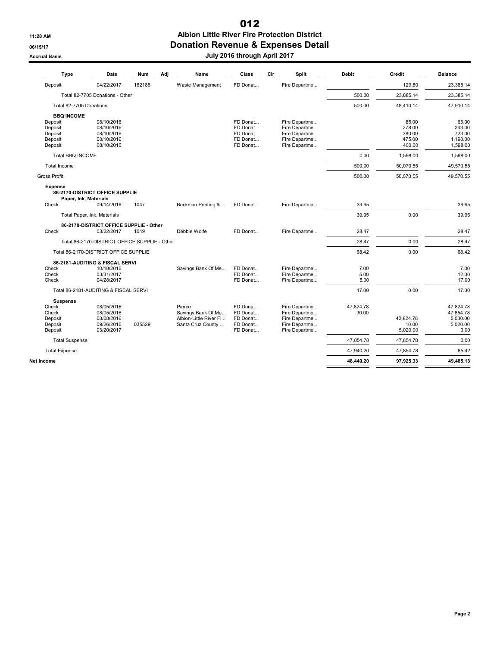## 11:28 AM Albion Little River Fire Protection District 06/15/17 CONSERVITED DONATION Revenue & Expenses Detail 012

# Accrual Basis July 2016 through April 2017

| Type                                                                     | Date                                                                         | <b>Num</b> | Adj | Name                                                                        | Class                                                    | Cir | Split                                                                             | <b>Debit</b>         | Credit                                        | <b>Balance</b>                                         |
|--------------------------------------------------------------------------|------------------------------------------------------------------------------|------------|-----|-----------------------------------------------------------------------------|----------------------------------------------------------|-----|-----------------------------------------------------------------------------------|----------------------|-----------------------------------------------|--------------------------------------------------------|
| Deposit                                                                  | 04/22/2017                                                                   | 162188     |     | Waste Management                                                            | FD Donat                                                 |     | Fire Departme                                                                     |                      | 129.80                                        | 23,385.14                                              |
|                                                                          | Total 82-7705 Donations - Other                                              |            |     |                                                                             |                                                          |     |                                                                                   | 500.00               | 23,885.14                                     | 23,385.14                                              |
| Total 82-7705 Donations                                                  |                                                                              |            |     |                                                                             |                                                          |     |                                                                                   | 500.00               | 48.410.14                                     | 47,910.14                                              |
| <b>BBQ INCOME</b><br>Deposit<br>Deposit<br>Deposit<br>Deposit<br>Deposit | 08/10/2016<br>08/10/2016<br>08/10/2016<br>08/10/2016<br>08/10/2016           |            |     |                                                                             | FD Donat<br>FD Donat<br>FD Donat<br>FD Donat<br>FD Donat |     | Fire Departme<br>Fire Departme<br>Fire Departme<br>Fire Departme<br>Fire Departme |                      | 65.00<br>278.00<br>380.00<br>475.00<br>400.00 | 65.00<br>343.00<br>723.00<br>1,198.00<br>1,598.00      |
| Total BBQ INCOME                                                         |                                                                              |            |     |                                                                             |                                                          |     |                                                                                   | 0.00                 | 1,598.00                                      | 1,598.00                                               |
| Total Income                                                             |                                                                              |            |     |                                                                             |                                                          |     |                                                                                   | 500.00               | 50,070.55                                     | 49,570.55                                              |
| <b>Gross Profit</b>                                                      |                                                                              |            |     |                                                                             |                                                          |     |                                                                                   | 500.00               | 50,070.55                                     | 49,570.55                                              |
| <b>Expense</b><br>Paper, Ink, Materials<br>Check                         | 86-2170-DISTRICT OFFICE SUPPLIE<br>09/14/2016<br>Total Paper, Ink, Materials | 1047       |     | Beckman Printing &                                                          | FD Donat                                                 |     | Fire Departme                                                                     | 39.95<br>39.95       | 0.00                                          | 39.95<br>39.95                                         |
|                                                                          | 86-2170-DISTRICT OFFICE SUPPLIE - Other                                      |            |     |                                                                             |                                                          |     |                                                                                   |                      |                                               |                                                        |
| Check                                                                    | 03/22/2017                                                                   | 1049       |     | Debbie Wolfe                                                                | FD Donat                                                 |     | Fire Departme                                                                     | 28.47                |                                               | 28.47                                                  |
|                                                                          | Total 86-2170-DISTRICT OFFICE SUPPLIE - Other                                |            |     |                                                                             |                                                          |     |                                                                                   | 28.47                | 0.00                                          | 28.47                                                  |
|                                                                          | Total 86-2170-DISTRICT OFFICE SUPPLIE                                        |            |     |                                                                             |                                                          |     |                                                                                   | 68.42                | 0.00                                          | 68.42                                                  |
| Check<br>Check<br>Check                                                  | 86-2181-AUDITING & FISCAL SERVI<br>10/18/2016<br>03/31/2017<br>04/28/2017    |            |     | Savings Bank Of Me                                                          | FD Donat<br>FD Donat<br>FD Donat                         |     | Fire Departme<br>Fire Departme<br>Fire Departme                                   | 7.00<br>5.00<br>5.00 |                                               | 7.00<br>12.00<br>17.00                                 |
|                                                                          | Total 86-2181-AUDITING & FISCAL SERVI                                        |            |     |                                                                             |                                                          |     |                                                                                   | 17.00                | 0.00                                          | 17.00                                                  |
| <b>Suspense</b><br>Check<br>Check<br>Deposit<br>Deposit<br>Deposit       | 08/05/2016<br>08/05/2016<br>08/08/2016<br>09/26/2016<br>03/20/2017           | 035529     |     | Pierce<br>Savings Bank Of Me<br>Albion-Little River Fi<br>Santa Cruz County | FD Donat<br>FD Donat<br>FD Donat<br>FD Donat<br>FD Donat |     | Fire Departme<br>Fire Departme<br>Fire Departme<br>Fire Departme<br>Fire Departme | 47.824.78<br>30.00   | 42.824.78<br>10.00<br>5,020.00                | 47,824.78<br>47,854.78<br>5.030.00<br>5,020.00<br>0.00 |
| <b>Total Suspense</b>                                                    |                                                                              |            |     |                                                                             |                                                          |     |                                                                                   | 47,854.78            | 47,854.78                                     | 0.00                                                   |
| <b>Total Expense</b>                                                     |                                                                              |            |     |                                                                             |                                                          |     |                                                                                   | 47,940.20            | 47,854.78                                     | 85.42                                                  |
| Net Income                                                               |                                                                              |            |     |                                                                             |                                                          |     |                                                                                   | 48.440.20            | 97,925.33                                     | 49,485.13                                              |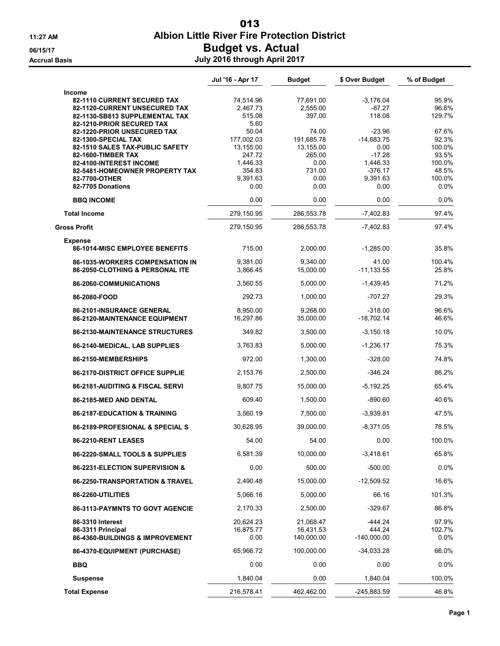# 11:27 AM Albion Little River Fire Protection District 06/15/17 CONSERVENT Budget vs. Actual Accrual Basis July 2016 through April 2017 013

|                                                            | Jul '16 - Apr 17      | <b>Budget</b>         | \$ Over Budget            | % of Budget    |
|------------------------------------------------------------|-----------------------|-----------------------|---------------------------|----------------|
| <b>Income</b>                                              |                       |                       |                           |                |
| <b>82-1110 CURRENT SECURED TAX</b>                         | 74,514.96             | 77,691.00             | $-3,176.04$               | 95.9%          |
| 82-1120-CURRENT UNSECURED TAX                              | 2,467.73              | 2,555.00              | $-87.27$                  | 96.6%          |
| 82-1130-SB813 SUPPLEMENTAL TAX                             | 515.08                | 397.00                | 118.08                    | 129.7%         |
| 82-1210-PRIOR SECURED TAX                                  | 5.60                  |                       |                           |                |
| 82-1220-PRIOR UNSECURED TAX                                | 50.04                 | 74.00                 | $-23.96$                  | 67.6%          |
| 82-1300-SPECIAL TAX                                        | 177,002.03            | 191,685.78            | $-14,683.75$              | 92.3%          |
| 82-1510 SALES TAX-PUBLIC SAFETY                            | 13,155.00             | 13,155.00             | 0.00                      | 100.0%         |
| 82-1600-TIMBER TAX                                         | 247.72                | 265.00                | $-17.28$                  | 93.5%          |
| 82-4100-INTEREST INCOME                                    | 1,446.33              | 0.00                  | 1,446.33                  | 100.0%         |
| 82-5481-HOMEOWNER PROPERTY TAX                             | 354.83                | 731.00                | $-376.17$                 | 48.5%          |
| 82-7700-OTHER                                              | 9,391.63              | 0.00                  | 9,391.63                  | 100.0%         |
| 82-7705 Donations                                          | 0.00                  | 0.00                  | 0.00                      | 0.0%           |
| <b>BBQ INCOME</b>                                          | 0.00                  | 0.00                  | 0.00                      | 0.0%           |
| <b>Total Income</b>                                        | 279,150.95            | 286,553.78            | $-7,402.83$               | 97.4%          |
| <b>Gross Profit</b>                                        | 279,150.95            | 286,553.78            | $-7,402.83$               | 97.4%          |
| <b>Expense</b>                                             |                       |                       |                           |                |
| <b>86-1014-MISC EMPLOYEE BENEFITS</b>                      | 715.00                | 2,000.00              | $-1,285.00$               | 35.8%          |
| <b>86-1035-WORKERS COMPENSATION IN</b>                     | 9,381.00              | 9,340.00              | 41.00                     | 100.4%         |
| 86-2050-CLOTHING & PERSONAL ITE                            | 3,866.45              | 15,000.00             | $-11,133.55$              | 25.8%          |
| 86-2060-COMMUNICATIONS                                     | 3,560.55              | 5,000.00              | $-1,439.45$               | 71.2%          |
| 86-2080-FOOD                                               | 292.73                | 1,000.00              | $-707.27$                 | 29.3%          |
|                                                            |                       |                       |                           |                |
| 86-2101-INSURANCE GENERAL<br>86-2120-MAINTENANCE EQUIPMENT | 8,950.00<br>16,297.86 | 9,268.00<br>35,000.00 | $-318.00$<br>$-18,702.14$ | 96.6%<br>46.6% |
|                                                            |                       |                       |                           |                |
| <b>86-2130-MAINTENANCE STRUCTURES</b>                      | 349.82                | 3,500.00              | $-3,150.18$               | 10.0%          |
| 86-2140-MEDICAL, LAB SUPPLIES                              | 3,763.83              | 5,000.00              | $-1,236.17$               | 75.3%          |
| 86-2150-MEMBERSHIPS                                        | 972.00                | 1,300.00              | $-328.00$                 | 74.8%          |
| <b>86-2170-DISTRICT OFFICE SUPPLIE</b>                     | 2,153.76              | 2,500.00              | $-346.24$                 | 86.2%          |
| <b>86-2181-AUDITING &amp; FISCAL SERVI</b>                 | 9,807.75              | 15,000.00             | $-5,192.25$               | 65.4%          |
| 86-2185-MED AND DENTAL                                     | 609.40                | 1,500.00              | $-890.60$                 | 40.6%          |
| 86-2187-EDUCATION & TRAINING                               | 3,560.19              | 7,500.00              | $-3,939.81$               | 47.5%          |
| 86-2189-PROFESIONAL & SPECIAL S                            | 30,628.95             | 39,000.00             | $-8,371.05$               | 78.5%          |
| 86-2210-RENT LEASES                                        | 54.00                 | 54.00                 | 0.00                      | 100.0%         |
| 86-2220-SMALL TOOLS & SUPPLIES                             | 6,581.39              | 10.000.00             | $-3,418.61$               | 65.8%          |
| 86-2231-ELECTION SUPERVISION &                             | 0.00                  | 500.00                | $-500.00$                 | 0.0%           |
| 86-2250-TRANSPORTATION & TRAVEL                            | 2,490.48              | 15,000.00             | $-12,509.52$              | 16.6%          |
| 86-2260-UTILITIES                                          | 5,066.16              | 5,000.00              | 66.16                     | 101.3%         |
| <b>86-3113-PAYMNTS TO GOVT AGENCIE</b>                     | 2,170.33              | 2,500.00              | $-329.67$                 | 86.8%          |
| 86-3310 Interest                                           | 20,624.23             | 21,068.47             | $-444.24$                 | 97.9%          |
| 86-3311 Principal                                          | 16,875.77             | 16,431.53             | 444.24                    | 102.7%         |
| 86-4360-BUILDINGS & IMPROVEMENT                            | 0.00                  | 140,000.00            | $-140,000.00$             | 0.0%           |
| 86-4370-EQUIPMENT (PURCHASE)                               | 65,966.72             | 100,000.00            | $-34,033.28$              | 66.0%          |
| <b>BBQ</b>                                                 | 0.00                  | 0.00                  | 0.00                      | $0.0\%$        |
| <b>Suspense</b>                                            | 1,840.04              | 0.00                  | 1,840.04                  | 100.0%         |
| <b>Total Expense</b>                                       | 216,578.41            | 462,462.00            | $-245,883.59$             | 46.8%          |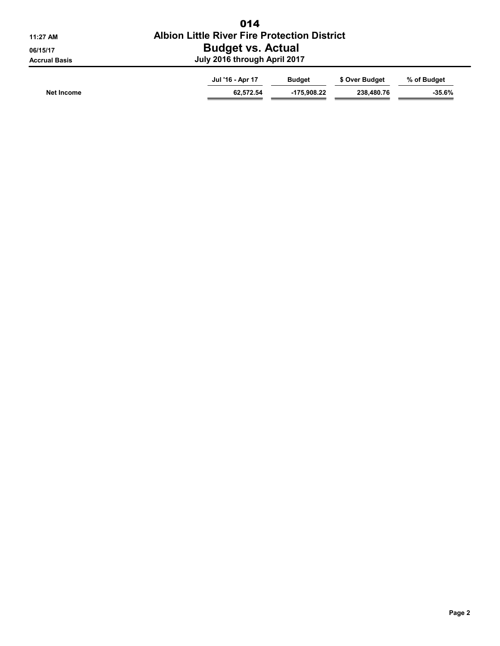| 11:27 AM                         | 014<br><b>Albion Little River Fire Protection District</b> |               |                |             |  |  |  |  |
|----------------------------------|------------------------------------------------------------|---------------|----------------|-------------|--|--|--|--|
| 06/15/17<br><b>Accrual Basis</b> | <b>Budget vs. Actual</b><br>July 2016 through April 2017   |               |                |             |  |  |  |  |
|                                  | Jul '16 - Apr 17                                           | <b>Budget</b> | \$ Over Budget | % of Budget |  |  |  |  |
| Net Income                       | 62.572.54                                                  | $-175.908.22$ | 238.480.76     | $-35.6%$    |  |  |  |  |

⇒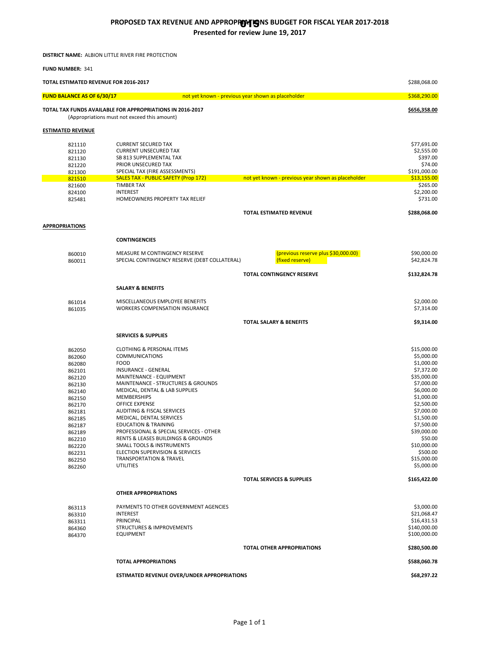#### **PROPOSED TAX REVENUE AND APPROPRIM GINS BUDGET FOR FISCAL YEAR 2017-2018 Presented for review June 19, 2017**

**DISTRICT NAME:** ALBION LITTLE RIVER FIRE PROTECTION

**FUND NUMBER:** 341

| TOTAL ESTIMATED REVENUE FOR 2016-2017 |                                                                          |                                                    |                              |  |
|---------------------------------------|--------------------------------------------------------------------------|----------------------------------------------------|------------------------------|--|
| <b>FUND BALANCE AS OF 6/30/17</b>     |                                                                          | not yet known - previous year shown as placeholder | \$368,290.00                 |  |
|                                       | TOTAL TAX FUNDS AVAILABLE FOR APPROPRIATIONS IN 2016-2017                |                                                    | \$656,358.00                 |  |
|                                       | (Appropriations must not exceed this amount)                             |                                                    |                              |  |
| <b>ESTIMATED REVENUE</b>              |                                                                          |                                                    |                              |  |
| 821110                                | <b>CURRENT SECURED TAX</b>                                               |                                                    | \$77,691.00                  |  |
| 821120                                | <b>CURRENT UNSECURED TAX</b>                                             |                                                    | \$2,555.00                   |  |
| 821130                                | SB 813 SUPPLEMENTAL TAX                                                  |                                                    | \$397.00                     |  |
| 821220<br>821300                      | PRIOR UNSECURED TAX<br>SPECIAL TAX (FIRE ASSESSMENTS)                    |                                                    | \$74.00<br>\$191,000.00      |  |
| 821510                                | <b>SALES TAX - PUBLIC SAFETY (Prop 172)</b>                              | not yet known - previous year shown as placeholder | \$13,155.00                  |  |
| 821600                                | <b>TIMBER TAX</b>                                                        |                                                    | \$265.00                     |  |
| 824100                                | <b>INTEREST</b>                                                          |                                                    | \$2,200.00                   |  |
| 825481                                | HOMEOWNERS PROPERTY TAX RELIEF                                           |                                                    | \$731.00                     |  |
|                                       |                                                                          | <b>TOTAL ESTIMATED REVENUE</b>                     | \$288,068.00                 |  |
|                                       |                                                                          |                                                    |                              |  |
| <b>APPROPRIATIONS</b>                 |                                                                          |                                                    |                              |  |
|                                       | <b>CONTINGENCIES</b>                                                     |                                                    |                              |  |
| 860010                                | MEASURE M CONTINGENCY RESERVE                                            | (previous reserve plus \$30,000.00)                | \$90,000.00                  |  |
| 860011                                | SPECIAL CONTINGENCY RESERVE (DEBT COLLATERAL)                            | (fixed reserve)                                    | \$42,824.78                  |  |
|                                       |                                                                          | TOTAL CONTINGENCY RESERVE                          | \$132,824.78                 |  |
|                                       | <b>SALARY &amp; BENEFITS</b>                                             |                                                    |                              |  |
| 861014                                | MISCELLANEOUS EMPLOYEE BENEFITS<br><b>WORKERS COMPENSATION INSURANCE</b> |                                                    | \$2,000.00<br>\$7,314.00     |  |
| 861035                                |                                                                          |                                                    |                              |  |
|                                       |                                                                          | <b>TOTAL SALARY &amp; BENEFITS</b>                 | \$9,314.00                   |  |
|                                       | <b>SERVICES &amp; SUPPLIES</b>                                           |                                                    |                              |  |
| 862050                                | <b>CLOTHING &amp; PERSONAL ITEMS</b>                                     |                                                    | \$15,000.00                  |  |
| 862060                                | <b>COMMUNICATIONS</b>                                                    |                                                    | \$5,000.00                   |  |
| 862080                                | <b>FOOD</b>                                                              |                                                    | \$1,000.00                   |  |
| 862101                                | INSURANCE - GENERAL                                                      |                                                    | \$7,372.00                   |  |
| 862120                                | MAINTENANCE - EQUIPMENT                                                  |                                                    | \$35,000.00                  |  |
| 862130                                | MAINTENANCE - STRUCTURES & GROUNDS                                       |                                                    | \$7,000.00                   |  |
| 862140                                | MEDICAL, DENTAL & LAB SUPPLIES<br><b>MEMBERSHIPS</b>                     |                                                    | \$6,000.00<br>\$1,000.00     |  |
| 862150<br>862170                      | <b>OFFICE EXPENSE</b>                                                    |                                                    | \$2,500.00                   |  |
| 862181                                | AUDITING & FISCAL SERVICES                                               |                                                    | \$7,000.00                   |  |
| 862185                                | MEDICAL, DENTAL SERVICES                                                 |                                                    | \$1,500.00                   |  |
| 862187                                | <b>EDUCATION &amp; TRAINING</b>                                          |                                                    | \$7,500.00                   |  |
| 862189                                | PROFESSIONAL & SPECIAL SERVICES - OTHER                                  |                                                    | \$39,000.00                  |  |
| 862210                                | RENTS & LEASES BUILDINGS & GROUNDS                                       |                                                    | \$50.00                      |  |
| 862220                                | SMALL TOOLS & INSTRUMENTS                                                |                                                    | \$10,000.00                  |  |
| 862231                                | ELECTION SUPERVISION & SERVICES                                          |                                                    | \$500.00                     |  |
| 862250<br>862260                      | <b>TRANSPORTATION &amp; TRAVEL</b><br><b>UTILITIES</b>                   |                                                    | \$15,000.00<br>\$5,000.00    |  |
|                                       |                                                                          | <b>TOTAL SERVICES &amp; SUPPLIES</b>               | \$165,422.00                 |  |
|                                       |                                                                          |                                                    |                              |  |
|                                       | <b>OTHER APPROPRIATIONS</b>                                              |                                                    |                              |  |
| 863113                                | PAYMENTS TO OTHER GOVERNMENT AGENCIES                                    |                                                    | \$3,000.00                   |  |
| 863310                                | <b>INTEREST</b>                                                          |                                                    | \$21,068.47                  |  |
| 863311                                | PRINCIPAL                                                                |                                                    | \$16,431.53                  |  |
| 864360                                | <b>STRUCTURES &amp; IMPROVEMENTS</b>                                     |                                                    | \$140,000.00<br>\$100,000.00 |  |
| 864370                                | <b>EQUIPMENT</b>                                                         |                                                    |                              |  |
|                                       |                                                                          | <b>TOTAL OTHER APPROPRIATIONS</b>                  | \$280,500.00                 |  |
|                                       | <b>TOTAL APPROPRIATIONS</b>                                              |                                                    | \$588,060.78                 |  |
|                                       | <b>ESTIMATED REVENUE OVER/UNDER APPROPRIATIONS</b>                       |                                                    | \$68,297.22                  |  |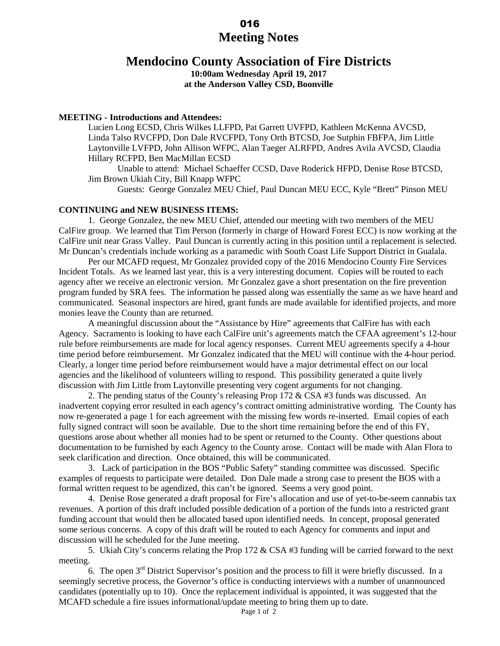# **Meeting Notes** 016

# **Mendocino County Association of Fire Districts**

**10:00am Wednesday April 19, 2017 at the Anderson Valley CSD, Boonville** 

#### **MEETING - Introductions and Attendees:**

Lucien Long ECSD, Chris Wilkes LLFPD, Pat Garrett UVFPD, Kathleen McKenna AVCSD, Linda Talso RVCFPD, Don Dale RVCFPD, Tony Orth BTCSD, Joe Sutphin FBFPA, Jim Little Laytonville LVFPD, John Allison WFPC, Alan Taeger ALRFPD, Andres Avila AVCSD, Claudia Hillary RCFPD, Ben MacMillan ECSD

 Unable to attend: Michael Schaeffer CCSD, Dave Roderick HFPD, Denise Rose BTCSD, Jim Brown Ukiah City, Bill Knapp WFPC

Guests: George Gonzalez MEU Chief, Paul Duncan MEU ECC, Kyle "Brett" Pinson MEU

#### **CONTINUING and NEW BUSINESS ITEMS:**

1. George Gonzalez, the new MEU Chief, attended our meeting with two members of the MEU CalFire group. We learned that Tim Person (formerly in charge of Howard Forest ECC) is now working at the CalFire unit near Grass Valley. Paul Duncan is currently acting in this position until a replacement is selected. Mr Duncan's credentials include working as a paramedic with South Coast Life Support District in Gualala.

 Per our MCAFD request, Mr Gonzalez provided copy of the 2016 Mendocino County Fire Services Incident Totals. As we learned last year, this is a very interesting document. Copies will be routed to each agency after we receive an electronic version. Mr Gonzalez gave a short presentation on the fire prevention program funded by SRA fees. The information he passed along was essentially the same as we have heard and communicated. Seasonal inspectors are hired, grant funds are made available for identified projects, and more monies leave the County than are returned.

A meaningful discussion about the "Assistance by Hire" agreements that CalFire has with each Agency. Sacramento is looking to have each CalFire unit's agreements match the CFAA agreement's 12-hour rule before reimbursements are made for local agency responses. Current MEU agreements specify a 4-hour time period before reimbursement. Mr Gonzalez indicated that the MEU will continue with the 4-hour period. Clearly, a longer time period before reimbursement would have a major detrimental effect on our local agencies and the likelihood of volunteers willing to respond. This possibility generated a quite lively discussion with Jim Little from Laytonville presenting very cogent arguments for not changing.

2. The pending status of the County's releasing Prop  $172 \& CSA \#3$  funds was discussed. An inadvertent copying error resulted in each agency's contract omitting administrative wording. The County has now re-generated a page 1 for each agreement with the missing few words re-inserted. Email copies of each fully signed contract will soon be available. Due to the short time remaining before the end of this FY, questions arose about whether all monies had to be spent or returned to the County. Other questions about documentation to be furnished by each Agency to the County arose. Contact will be made with Alan Flora to seek clarification and direction. Once obtained, this will be communicated.

3. Lack of participation in the BOS "Public Safety" standing committee was discussed. Specific examples of requests to participate were detailed. Don Dale made a strong case to present the BOS with a formal written request to be agendized, this can't be ignored. Seems a very good point.

4. Denise Rose generated a draft proposal for Fire's allocation and use of yet-to-be-seem cannabis tax revenues. A portion of this draft included possible dedication of a portion of the funds into a restricted grant funding account that would then be allocated based upon identified needs. In concept, proposal generated some serious concerns. A copy of this draft will be routed to each Agency for comments and input and discussion will he scheduled for the June meeting.

5. Ukiah City's concerns relating the Prop 172 & CSA #3 funding will be carried forward to the next meeting.

6. The open 3rd District Supervisor's position and the process to fill it were briefly discussed. In a seemingly secretive process, the Governor's office is conducting interviews with a number of unannounced candidates (potentially up to 10). Once the replacement individual is appointed, it was suggested that the MCAFD schedule a fire issues informational/update meeting to bring them up to date.